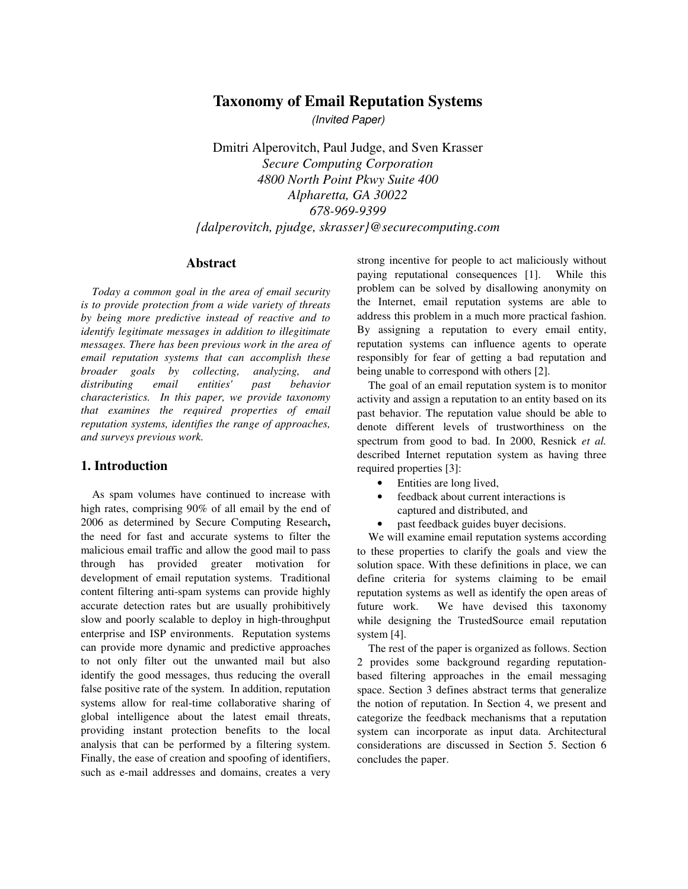# **Taxonomy of Email Reputation Systems**

(Invited Paper)

Dmitri Alperovitch, Paul Judge, and Sven Krasser *Secure Computing Corporation 4800 North Point Pkwy Suite 400 Alpharetta, GA 30022 678-969-9399 {dalperovitch, pjudge, skrasser}@securecomputing.com* 

#### **Abstract**

*Today a common goal in the area of email security is to provide protection from a wide variety of threats by being more predictive instead of reactive and to identify legitimate messages in addition to illegitimate messages. There has been previous work in the area of email reputation systems that can accomplish these broader goals by collecting, analyzing, and distributing email entities' past behavior characteristics. In this paper, we provide taxonomy that examines the required properties of email reputation systems, identifies the range of approaches, and surveys previous work.*

### **1. Introduction**

As spam volumes have continued to increase with high rates, comprising 90% of all email by the end of 2006 as determined by Secure Computing Research**,** the need for fast and accurate systems to filter the malicious email traffic and allow the good mail to pass through has provided greater motivation for development of email reputation systems. Traditional content filtering anti-spam systems can provide highly accurate detection rates but are usually prohibitively slow and poorly scalable to deploy in high-throughput enterprise and ISP environments. Reputation systems can provide more dynamic and predictive approaches to not only filter out the unwanted mail but also identify the good messages, thus reducing the overall false positive rate of the system. In addition, reputation systems allow for real-time collaborative sharing of global intelligence about the latest email threats, providing instant protection benefits to the local analysis that can be performed by a filtering system. Finally, the ease of creation and spoofing of identifiers, such as e-mail addresses and domains, creates a very

strong incentive for people to act maliciously without paying reputational consequences [1]. While this problem can be solved by disallowing anonymity on the Internet, email reputation systems are able to address this problem in a much more practical fashion. By assigning a reputation to every email entity, reputation systems can influence agents to operate responsibly for fear of getting a bad reputation and being unable to correspond with others [2].

The goal of an email reputation system is to monitor activity and assign a reputation to an entity based on its past behavior. The reputation value should be able to denote different levels of trustworthiness on the spectrum from good to bad. In 2000, Resnick *et al.* described Internet reputation system as having three required properties [3]:

- Entities are long lived,
- feedback about current interactions is captured and distributed, and
- past feedback guides buyer decisions.

We will examine email reputation systems according to these properties to clarify the goals and view the solution space. With these definitions in place, we can define criteria for systems claiming to be email reputation systems as well as identify the open areas of future work. We have devised this taxonomy while designing the TrustedSource email reputation system [4].

The rest of the paper is organized as follows. Section 2 provides some background regarding reputationbased filtering approaches in the email messaging space. Section 3 defines abstract terms that generalize the notion of reputation. In Section 4, we present and categorize the feedback mechanisms that a reputation system can incorporate as input data. Architectural considerations are discussed in Section 5. Section 6 concludes the paper.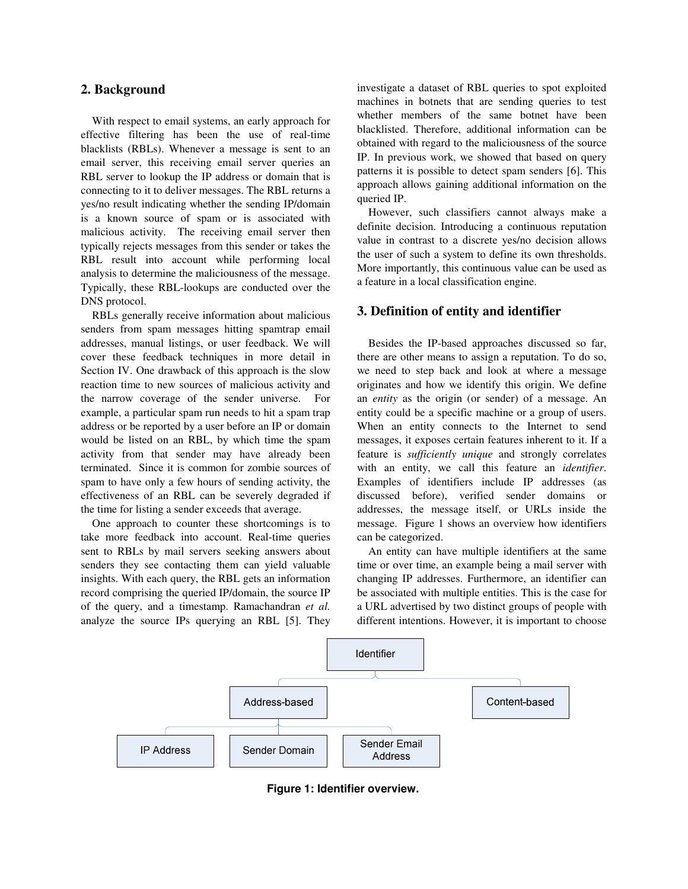### **2. Background**

With respect to email systems, an early approach for effective filtering has been the use of real-time blacklists (RBLs). Whenever a message is sent to an email server, this receiving email server queries an RBL server to lookup the IP address or domain that is connecting to it to deliver messages. The RBL returns a yes/no result indicating whether the sending IP/domain is a known source of spam or is associated with malicious activity. The receiving email server then typically rejects messages from this sender or takes the RBL result into account while performing local analysis to determine the maliciousness of the message. Typically, these RBL-lookups are conducted over the DNS protocol.

RBLs generally receive information about malicious senders from spam messages hitting spamtrap email addresses, manual listings, or user feedback. We will cover these feedback techniques in more detail in Section IV. One drawback of this approach is the slow reaction time to new sources of malicious activity and the narrow coverage of the sender universe. For example, a particular spam run needs to hit a spam trap address or be reported by a user before an IP or domain would be listed on an RBL, by which time the spam activity from that sender may have already been terminated. Since it is common for zombie sources of spam to have only a few hours of sending activity, the effectiveness of an RBL can be severely degraded if the time for listing a sender exceeds that average.

One approach to counter these shortcomings is to take more feedback into account. Real-time queries sent to RBLs by mail servers seeking answers about senders they see contacting them can yield valuable insights. With each query, the RBL gets an information record comprising the queried IP/domain, the source IP of the query, and a timestamp. Ramachandran *et al.* analyze the source IPs querying an RBL [5]. They investigate a dataset of RBL queries to spot exploited machines in botnets that are sending queries to test whether members of the same botnet have been blacklisted. Therefore, additional information can be obtained with regard to the maliciousness of the source IP. In previous work, we showed that based on query patterns it is possible to detect spam senders [6]. This approach allows gaining additional information on the queried IP.

However, such classifiers cannot always make a definite decision. Introducing a continuous reputation value in contrast to a discrete yes/no decision allows the user of such a system to define its own thresholds. More importantly, this continuous value can be used as a feature in a local classification engine.

### **3. Definition of entity and identifier**

Besides the IP-based approaches discussed so far, there are other means to assign a reputation. To do so, we need to step back and look at where a message originates and how we identify this origin. We define an *entity* as the origin (or sender) of a message. An entity could be a specific machine or a group of users. When an entity connects to the Internet to send messages, it exposes certain features inherent to it. If a feature is *sufficiently unique* and strongly correlates with an entity, we call this feature an *identifier*. Examples of identifiers include IP addresses (as discussed before), verified sender domains or addresses, the message itself, or URLs inside the message. Figure 1 shows an overview how identifiers can be categorized.

An entity can have multiple identifiers at the same time or over time, an example being a mail server with changing IP addresses. Furthermore, an identifier can be associated with multiple entities. This is the case for a URL advertised by two distinct groups of people with different intentions. However, it is important to choose



**Figure 1: Identifier overview.**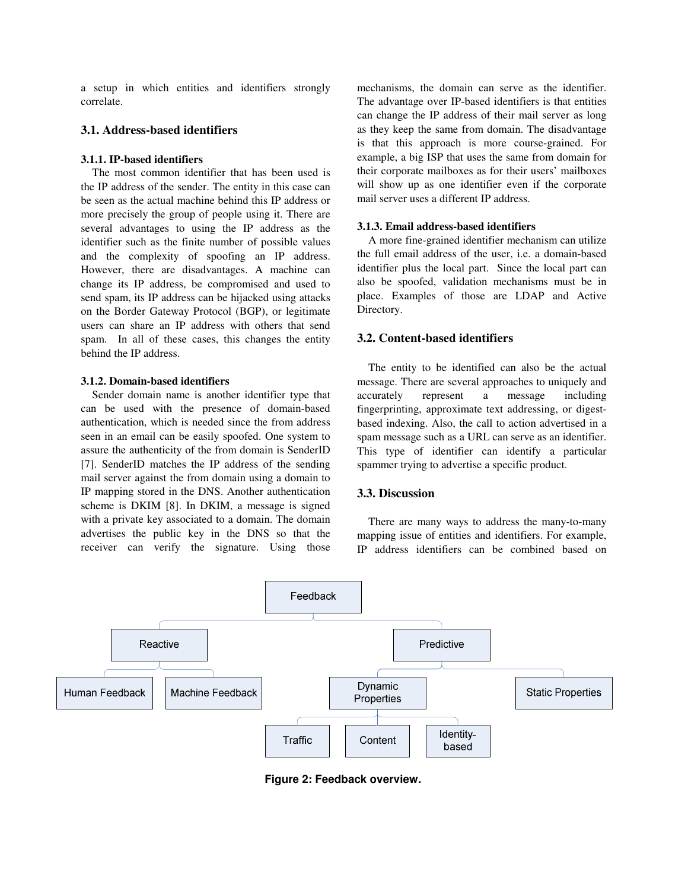a setup in which entities and identifiers strongly correlate.

#### **3.1. Address-based identifiers**

#### **3.1.1. IP-based identifiers**

The most common identifier that has been used is the IP address of the sender. The entity in this case can be seen as the actual machine behind this IP address or more precisely the group of people using it. There are several advantages to using the IP address as the identifier such as the finite number of possible values and the complexity of spoofing an IP address. However, there are disadvantages. A machine can change its IP address, be compromised and used to send spam, its IP address can be hijacked using attacks on the Border Gateway Protocol (BGP), or legitimate users can share an IP address with others that send spam. In all of these cases, this changes the entity behind the IP address.

#### **3.1.2. Domain-based identifiers**

Sender domain name is another identifier type that can be used with the presence of domain-based authentication, which is needed since the from address seen in an email can be easily spoofed. One system to assure the authenticity of the from domain is SenderID [7]. SenderID matches the IP address of the sending mail server against the from domain using a domain to IP mapping stored in the DNS. Another authentication scheme is DKIM [8]. In DKIM, a message is signed with a private key associated to a domain. The domain advertises the public key in the DNS so that the receiver can verify the signature. Using those mechanisms, the domain can serve as the identifier. The advantage over IP-based identifiers is that entities can change the IP address of their mail server as long as they keep the same from domain. The disadvantage is that this approach is more course-grained. For example, a big ISP that uses the same from domain for their corporate mailboxes as for their users' mailboxes will show up as one identifier even if the corporate mail server uses a different IP address.

#### **3.1.3. Email address-based identifiers**

A more fine-grained identifier mechanism can utilize the full email address of the user, i.e. a domain-based identifier plus the local part. Since the local part can also be spoofed, validation mechanisms must be in place. Examples of those are LDAP and Active Directory.

#### **3.2. Content-based identifiers**

The entity to be identified can also be the actual message. There are several approaches to uniquely and accurately represent a message including fingerprinting, approximate text addressing, or digestbased indexing. Also, the call to action advertised in a spam message such as a URL can serve as an identifier. This type of identifier can identify a particular spammer trying to advertise a specific product.

### **3.3. Discussion**

There are many ways to address the many-to-many mapping issue of entities and identifiers. For example, IP address identifiers can be combined based on



**Figure 2: Feedback overview.**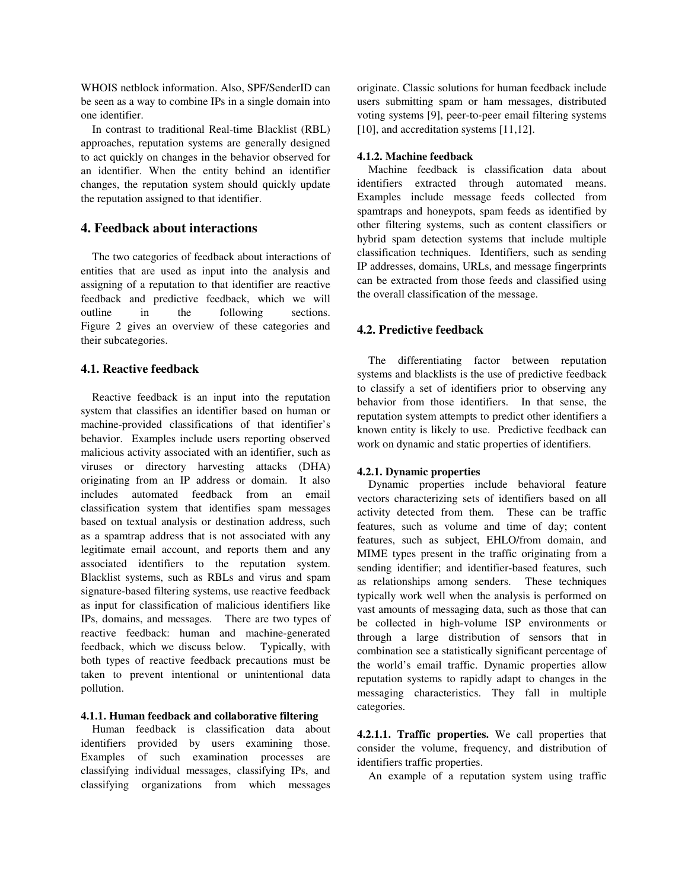WHOIS netblock information. Also, SPF/SenderID can be seen as a way to combine IPs in a single domain into one identifier.

In contrast to traditional Real-time Blacklist (RBL) approaches, reputation systems are generally designed to act quickly on changes in the behavior observed for an identifier. When the entity behind an identifier changes, the reputation system should quickly update the reputation assigned to that identifier.

## **4. Feedback about interactions**

The two categories of feedback about interactions of entities that are used as input into the analysis and assigning of a reputation to that identifier are reactive feedback and predictive feedback, which we will outline in the following sections. Figure 2 gives an overview of these categories and their subcategories.

### **4.1. Reactive feedback**

Reactive feedback is an input into the reputation system that classifies an identifier based on human or machine-provided classifications of that identifier's behavior. Examples include users reporting observed malicious activity associated with an identifier, such as viruses or directory harvesting attacks (DHA) originating from an IP address or domain. It also includes automated feedback from an email classification system that identifies spam messages based on textual analysis or destination address, such as a spamtrap address that is not associated with any legitimate email account, and reports them and any associated identifiers to the reputation system. Blacklist systems, such as RBLs and virus and spam signature-based filtering systems, use reactive feedback as input for classification of malicious identifiers like IPs, domains, and messages. There are two types of reactive feedback: human and machine-generated feedback, which we discuss below. Typically, with both types of reactive feedback precautions must be taken to prevent intentional or unintentional data pollution.

### **4.1.1. Human feedback and collaborative filtering**

Human feedback is classification data about identifiers provided by users examining those. Examples of such examination processes are classifying individual messages, classifying IPs, and classifying organizations from which messages

originate. Classic solutions for human feedback include users submitting spam or ham messages, distributed voting systems [9], peer-to-peer email filtering systems [10], and accreditation systems [11,12].

#### **4.1.2. Machine feedback**

Machine feedback is classification data about identifiers extracted through automated means. Examples include message feeds collected from spamtraps and honeypots, spam feeds as identified by other filtering systems, such as content classifiers or hybrid spam detection systems that include multiple classification techniques. Identifiers, such as sending IP addresses, domains, URLs, and message fingerprints can be extracted from those feeds and classified using the overall classification of the message.

#### **4.2. Predictive feedback**

The differentiating factor between reputation systems and blacklists is the use of predictive feedback to classify a set of identifiers prior to observing any behavior from those identifiers. In that sense, the reputation system attempts to predict other identifiers a known entity is likely to use. Predictive feedback can work on dynamic and static properties of identifiers.

#### **4.2.1. Dynamic properties**

Dynamic properties include behavioral feature vectors characterizing sets of identifiers based on all activity detected from them. These can be traffic features, such as volume and time of day; content features, such as subject, EHLO/from domain, and MIME types present in the traffic originating from a sending identifier; and identifier-based features, such as relationships among senders. These techniques typically work well when the analysis is performed on vast amounts of messaging data, such as those that can be collected in high-volume ISP environments or through a large distribution of sensors that in combination see a statistically significant percentage of the world's email traffic. Dynamic properties allow reputation systems to rapidly adapt to changes in the messaging characteristics. They fall in multiple categories.

**4.2.1.1. Traffic properties.** We call properties that consider the volume, frequency, and distribution of identifiers traffic properties.

An example of a reputation system using traffic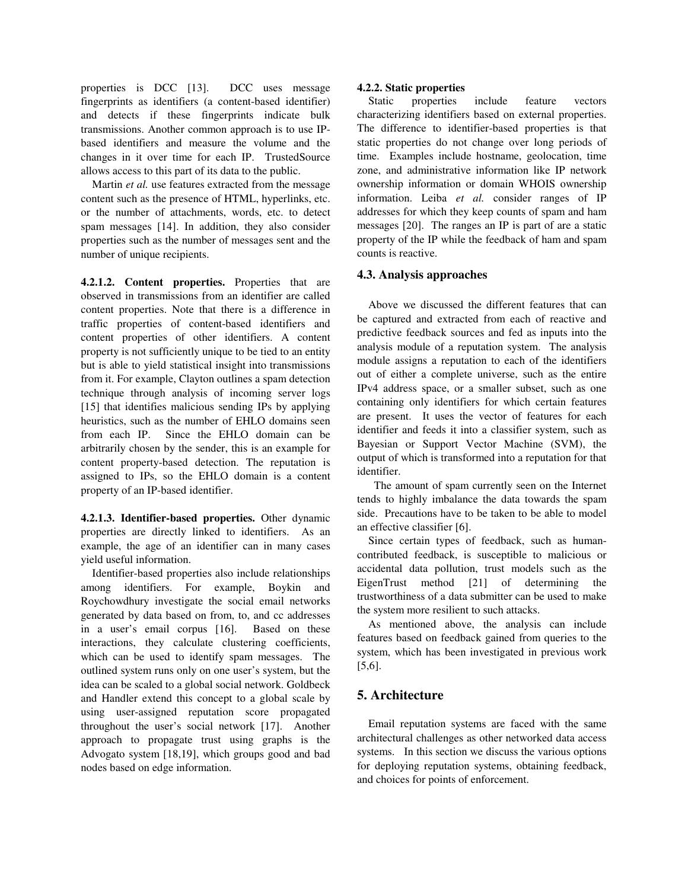properties is DCC [13]. DCC uses message fingerprints as identifiers (a content-based identifier) and detects if these fingerprints indicate bulk transmissions. Another common approach is to use IPbased identifiers and measure the volume and the changes in it over time for each IP. TrustedSource allows access to this part of its data to the public.

Martin *et al.* use features extracted from the message content such as the presence of HTML, hyperlinks, etc. or the number of attachments, words, etc. to detect spam messages [14]. In addition, they also consider properties such as the number of messages sent and the number of unique recipients.

**4.2.1.2. Content properties.** Properties that are observed in transmissions from an identifier are called content properties. Note that there is a difference in traffic properties of content-based identifiers and content properties of other identifiers. A content property is not sufficiently unique to be tied to an entity but is able to yield statistical insight into transmissions from it. For example, Clayton outlines a spam detection technique through analysis of incoming server logs [15] that identifies malicious sending IPs by applying heuristics, such as the number of EHLO domains seen from each IP. Since the EHLO domain can be arbitrarily chosen by the sender, this is an example for content property-based detection. The reputation is assigned to IPs, so the EHLO domain is a content property of an IP-based identifier.

**4.2.1.3. Identifier-based properties.** Other dynamic properties are directly linked to identifiers. As an example, the age of an identifier can in many cases yield useful information.

Identifier-based properties also include relationships among identifiers. For example, Boykin and Roychowdhury investigate the social email networks generated by data based on from, to, and cc addresses in a user's email corpus [16]. Based on these interactions, they calculate clustering coefficients, which can be used to identify spam messages. The outlined system runs only on one user's system, but the idea can be scaled to a global social network. Goldbeck and Handler extend this concept to a global scale by using user-assigned reputation score propagated throughout the user's social network [17]. Another approach to propagate trust using graphs is the Advogato system [18,19], which groups good and bad nodes based on edge information.

#### **4.2.2. Static properties**

Static properties include feature vectors characterizing identifiers based on external properties. The difference to identifier-based properties is that static properties do not change over long periods of time. Examples include hostname, geolocation, time zone, and administrative information like IP network ownership information or domain WHOIS ownership information. Leiba *et al.* consider ranges of IP addresses for which they keep counts of spam and ham messages [20]. The ranges an IP is part of are a static property of the IP while the feedback of ham and spam counts is reactive.

### **4.3. Analysis approaches**

Above we discussed the different features that can be captured and extracted from each of reactive and predictive feedback sources and fed as inputs into the analysis module of a reputation system. The analysis module assigns a reputation to each of the identifiers out of either a complete universe, such as the entire IPv4 address space, or a smaller subset, such as one containing only identifiers for which certain features are present. It uses the vector of features for each identifier and feeds it into a classifier system, such as Bayesian or Support Vector Machine (SVM), the output of which is transformed into a reputation for that identifier.

 The amount of spam currently seen on the Internet tends to highly imbalance the data towards the spam side. Precautions have to be taken to be able to model an effective classifier [6].

Since certain types of feedback, such as humancontributed feedback, is susceptible to malicious or accidental data pollution, trust models such as the EigenTrust method [21] of determining the trustworthiness of a data submitter can be used to make the system more resilient to such attacks.

As mentioned above, the analysis can include features based on feedback gained from queries to the system, which has been investigated in previous work [5,6].

## **5. Architecture**

Email reputation systems are faced with the same architectural challenges as other networked data access systems. In this section we discuss the various options for deploying reputation systems, obtaining feedback, and choices for points of enforcement.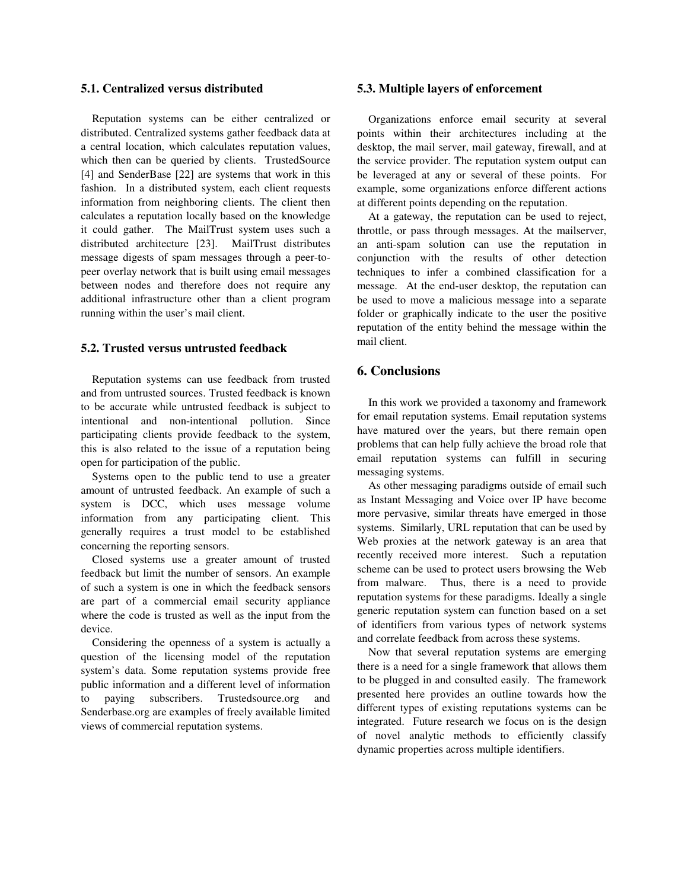#### **5.1. Centralized versus distributed**

Reputation systems can be either centralized or distributed. Centralized systems gather feedback data at a central location, which calculates reputation values, which then can be queried by clients. TrustedSource [4] and SenderBase [22] are systems that work in this fashion. In a distributed system, each client requests information from neighboring clients. The client then calculates a reputation locally based on the knowledge it could gather. The MailTrust system uses such a distributed architecture [23]. MailTrust distributes message digests of spam messages through a peer-topeer overlay network that is built using email messages between nodes and therefore does not require any additional infrastructure other than a client program running within the user's mail client.

#### **5.2. Trusted versus untrusted feedback**

Reputation systems can use feedback from trusted and from untrusted sources. Trusted feedback is known to be accurate while untrusted feedback is subject to intentional and non-intentional pollution. Since participating clients provide feedback to the system, this is also related to the issue of a reputation being open for participation of the public.

Systems open to the public tend to use a greater amount of untrusted feedback. An example of such a system is DCC, which uses message volume information from any participating client. This generally requires a trust model to be established concerning the reporting sensors.

Closed systems use a greater amount of trusted feedback but limit the number of sensors. An example of such a system is one in which the feedback sensors are part of a commercial email security appliance where the code is trusted as well as the input from the device.

Considering the openness of a system is actually a question of the licensing model of the reputation system's data. Some reputation systems provide free public information and a different level of information to paying subscribers. Trustedsource.org and Senderbase.org are examples of freely available limited views of commercial reputation systems.

#### **5.3. Multiple layers of enforcement**

Organizations enforce email security at several points within their architectures including at the desktop, the mail server, mail gateway, firewall, and at the service provider. The reputation system output can be leveraged at any or several of these points. For example, some organizations enforce different actions at different points depending on the reputation.

At a gateway, the reputation can be used to reject, throttle, or pass through messages. At the mailserver, an anti-spam solution can use the reputation in conjunction with the results of other detection techniques to infer a combined classification for a message. At the end-user desktop, the reputation can be used to move a malicious message into a separate folder or graphically indicate to the user the positive reputation of the entity behind the message within the mail client.

## **6. Conclusions**

In this work we provided a taxonomy and framework for email reputation systems. Email reputation systems have matured over the years, but there remain open problems that can help fully achieve the broad role that email reputation systems can fulfill in securing messaging systems.

As other messaging paradigms outside of email such as Instant Messaging and Voice over IP have become more pervasive, similar threats have emerged in those systems. Similarly, URL reputation that can be used by Web proxies at the network gateway is an area that recently received more interest. Such a reputation scheme can be used to protect users browsing the Web from malware. Thus, there is a need to provide reputation systems for these paradigms. Ideally a single generic reputation system can function based on a set of identifiers from various types of network systems and correlate feedback from across these systems.

Now that several reputation systems are emerging there is a need for a single framework that allows them to be plugged in and consulted easily. The framework presented here provides an outline towards how the different types of existing reputations systems can be integrated. Future research we focus on is the design of novel analytic methods to efficiently classify dynamic properties across multiple identifiers.